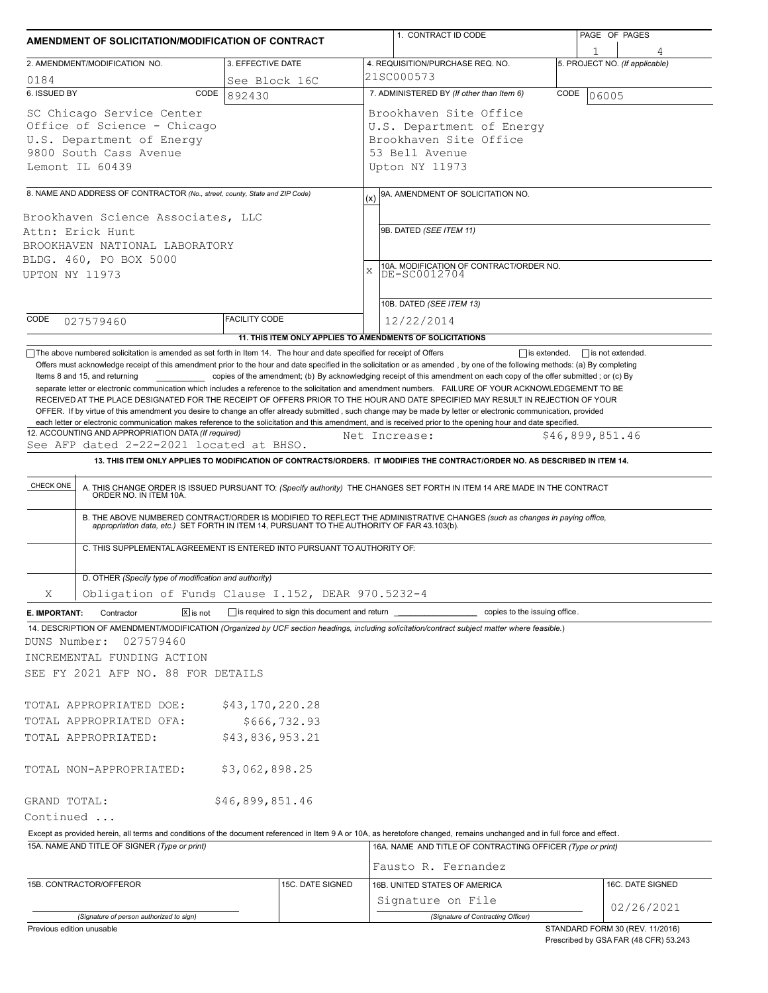| AMENDMENT OF SOLICITATION/MODIFICATION OF CONTRACT         |                                                                                                                                     |                                              | 1. CONTRACT ID CODE                                                                                                                                                                                                                                                                                                                                                                                                                                                                                                                                                                                                                                                                                                                                     | PAGE OF PAGES                  |
|------------------------------------------------------------|-------------------------------------------------------------------------------------------------------------------------------------|----------------------------------------------|---------------------------------------------------------------------------------------------------------------------------------------------------------------------------------------------------------------------------------------------------------------------------------------------------------------------------------------------------------------------------------------------------------------------------------------------------------------------------------------------------------------------------------------------------------------------------------------------------------------------------------------------------------------------------------------------------------------------------------------------------------|--------------------------------|
|                                                            |                                                                                                                                     |                                              |                                                                                                                                                                                                                                                                                                                                                                                                                                                                                                                                                                                                                                                                                                                                                         |                                |
|                                                            | 2. AMENDMENT/MODIFICATION NO.                                                                                                       | 3. EFFECTIVE DATE                            | 4. REQUISITION/PURCHASE REQ. NO.                                                                                                                                                                                                                                                                                                                                                                                                                                                                                                                                                                                                                                                                                                                        | 5. PROJECT NO. (If applicable) |
| 0184                                                       |                                                                                                                                     | See Block 16C                                | 21SC000573                                                                                                                                                                                                                                                                                                                                                                                                                                                                                                                                                                                                                                                                                                                                              |                                |
| 6. ISSUED BY                                               | CODE                                                                                                                                | 892430                                       | 7. ADMINISTERED BY (If other than Item 6)                                                                                                                                                                                                                                                                                                                                                                                                                                                                                                                                                                                                                                                                                                               | CODE<br>06005                  |
|                                                            | SC Chicago Service Center<br>Office of Science - Chicago<br>U.S. Department of Energy<br>9800 South Cass Avenue<br>Lemont IL 60439  |                                              | Brookhaven Site Office<br>U.S. Department of Energy<br>Brookhaven Site Office<br>53 Bell Avenue<br>Upton NY 11973                                                                                                                                                                                                                                                                                                                                                                                                                                                                                                                                                                                                                                       |                                |
|                                                            | 8. NAME AND ADDRESS OF CONTRACTOR (No., street, county, State and ZIP Code)                                                         |                                              | 9A. AMENDMENT OF SOLICITATION NO.                                                                                                                                                                                                                                                                                                                                                                                                                                                                                                                                                                                                                                                                                                                       |                                |
| UPTON NY 11973                                             | Brookhaven Science Associates, LLC<br>Attn: Erick Hunt<br>BROOKHAVEN NATIONAL LABORATORY<br>BLDG. 460, PO BOX 5000                  |                                              | (x)<br>9B. DATED (SEE ITEM 11)<br>10A. MODIFICATION OF CONTRACT/ORDER NO.<br>$\mathbf x$<br>DE-SC0012704                                                                                                                                                                                                                                                                                                                                                                                                                                                                                                                                                                                                                                                |                                |
| CODE                                                       |                                                                                                                                     | <b>FACILITY CODE</b>                         | 10B. DATED (SEE ITEM 13)                                                                                                                                                                                                                                                                                                                                                                                                                                                                                                                                                                                                                                                                                                                                |                                |
|                                                            | 027579460                                                                                                                           |                                              | 12/22/2014<br>11. THIS ITEM ONLY APPLIES TO AMENDMENTS OF SOLICITATIONS                                                                                                                                                                                                                                                                                                                                                                                                                                                                                                                                                                                                                                                                                 |                                |
|                                                            | Items 8 and 15, and returning                                                                                                       |                                              | copies of the amendment; (b) By acknowledging receipt of this amendment on each copy of the offer submitted; or (c) By<br>separate letter or electronic communication which includes a reference to the solicitation and amendment numbers. FAILURE OF YOUR ACKNOWLEDGEMENT TO BE<br>RECEIVED AT THE PLACE DESIGNATED FOR THE RECEIPT OF OFFERS PRIOR TO THE HOUR AND DATE SPECIFIED MAY RESULT IN REJECTION OF YOUR<br>OFFER. If by virtue of this amendment you desire to change an offer already submitted, such change may be made by letter or electronic communication, provided<br>each letter or electronic communication makes reference to the solicitation and this amendment, and is received prior to the opening hour and date specified. |                                |
|                                                            | 12. ACCOUNTING AND APPROPRIATION DATA (If required)                                                                                 |                                              | Net Increase:                                                                                                                                                                                                                                                                                                                                                                                                                                                                                                                                                                                                                                                                                                                                           | \$46,899,851.46                |
|                                                            | See AFP dated 2-22-2021 located at BHSO.                                                                                            |                                              | 13. THIS ITEM ONLY APPLIES TO MODIFICATION OF CONTRACTS/ORDERS. IT MODIFIES THE CONTRACT/ORDER NO. AS DESCRIBED IN ITEM 14.                                                                                                                                                                                                                                                                                                                                                                                                                                                                                                                                                                                                                             |                                |
| CHECK ONE                                                  |                                                                                                                                     |                                              |                                                                                                                                                                                                                                                                                                                                                                                                                                                                                                                                                                                                                                                                                                                                                         |                                |
|                                                            | C. THIS SUPPLEMENTAL AGREEMENT IS ENTERED INTO PURSUANT TO AUTHORITY OF:                                                            |                                              | A. THIS CHANGE ORDER IS ISSUED PURSUANT TO: (Specify authority) THE CHANGES SET FORTH IN ITEM 14 ARE MADE IN THE CONTRACT ORDER NO. IN ITEM 10A.<br>B. THE ABOVE NUMBERED CONTRACT/ORDER IS MODIFIED TO REFLECT THE ADMINISTRATIVE CHANGES (such as changes in paying office,<br>appropriation data, etc.) SET FORTH IN ITEM 14, PURSUANT TO THE AUTHORITY OF FAR 43.103(b).                                                                                                                                                                                                                                                                                                                                                                            |                                |
|                                                            |                                                                                                                                     |                                              |                                                                                                                                                                                                                                                                                                                                                                                                                                                                                                                                                                                                                                                                                                                                                         |                                |
|                                                            | D. OTHER (Specify type of modification and authority)                                                                               |                                              |                                                                                                                                                                                                                                                                                                                                                                                                                                                                                                                                                                                                                                                                                                                                                         |                                |
| Χ                                                          | Obligation of Funds Clause I.152, DEAR 970.5232-4<br>$\boxed{\mathsf{X}}$ is not<br>Contractor                                      | is required to sign this document and return | copies to the issuing office.                                                                                                                                                                                                                                                                                                                                                                                                                                                                                                                                                                                                                                                                                                                           |                                |
|                                                            | 027579460<br>INCREMENTAL FUNDING ACTION<br>SEE FY 2021 AFP NO. 88 FOR DETAILS<br>TOTAL APPROPRIATED DOE:<br>TOTAL APPROPRIATED OFA: | \$43,170,220.28<br>\$666,732.93              | 14. DESCRIPTION OF AMENDMENT/MODIFICATION (Organized by UCF section headings, including solicitation/contract subject matter where feasible.)                                                                                                                                                                                                                                                                                                                                                                                                                                                                                                                                                                                                           |                                |
|                                                            | TOTAL APPROPRIATED:                                                                                                                 | \$43,836,953.21                              |                                                                                                                                                                                                                                                                                                                                                                                                                                                                                                                                                                                                                                                                                                                                                         |                                |
|                                                            | TOTAL NON-APPROPRIATED:                                                                                                             | \$3,062,898.25                               |                                                                                                                                                                                                                                                                                                                                                                                                                                                                                                                                                                                                                                                                                                                                                         |                                |
|                                                            |                                                                                                                                     | \$46,899,851.46                              |                                                                                                                                                                                                                                                                                                                                                                                                                                                                                                                                                                                                                                                                                                                                                         |                                |
|                                                            |                                                                                                                                     |                                              |                                                                                                                                                                                                                                                                                                                                                                                                                                                                                                                                                                                                                                                                                                                                                         |                                |
| E. IMPORTANT:<br>DUNS Number:<br>GRAND TOTAL:<br>Continued | 15A. NAME AND TITLE OF SIGNER (Type or print)                                                                                       |                                              | Except as provided herein, all terms and conditions of the document referenced in Item 9 A or 10A, as heretofore changed, remains unchanged and in full force and effect.<br>16A. NAME AND TITLE OF CONTRACTING OFFICER (Type or print)                                                                                                                                                                                                                                                                                                                                                                                                                                                                                                                 |                                |
|                                                            |                                                                                                                                     |                                              | Fausto R. Fernandez                                                                                                                                                                                                                                                                                                                                                                                                                                                                                                                                                                                                                                                                                                                                     |                                |
|                                                            | 15B. CONTRACTOR/OFFEROR                                                                                                             | 15C. DATE SIGNED                             | 16B. UNITED STATES OF AMERICA<br>Signature on File                                                                                                                                                                                                                                                                                                                                                                                                                                                                                                                                                                                                                                                                                                      | 16C. DATE SIGNED<br>02/26/2021 |

Prescribed by GSA FAR (48 CFR) 53.243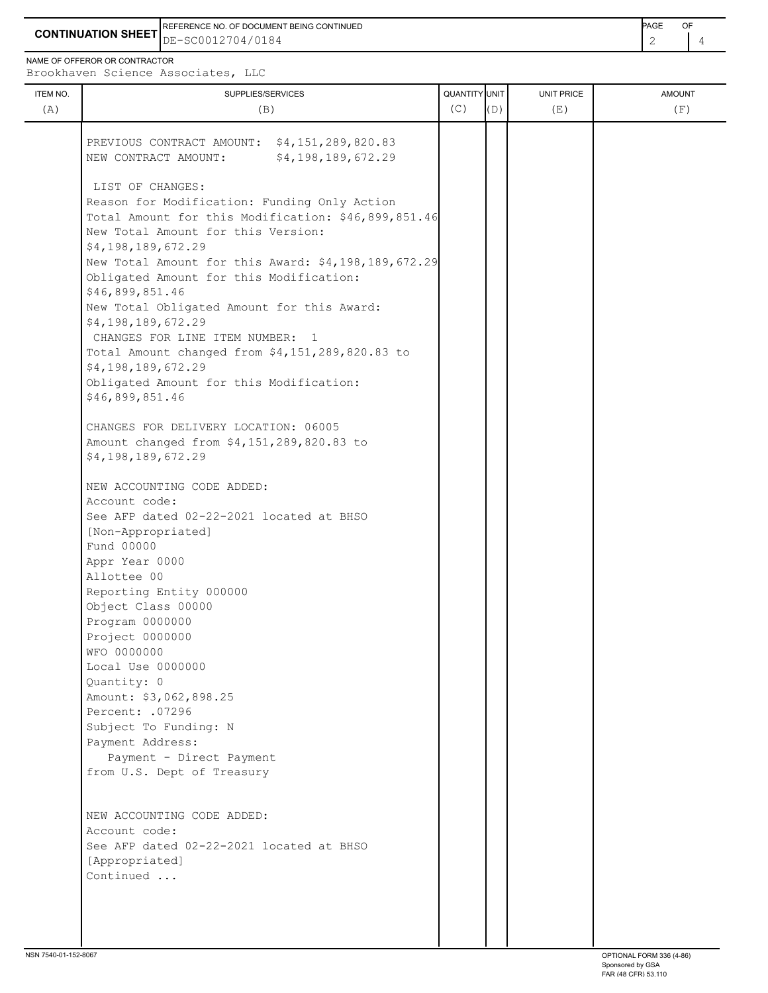**CONTINUATION SHEET** DE-SC0012704/0184 REFERENCE NO. OF DOCUMENT BEING CONTINUED **EXAMPLE 2008** PAGE OF

NAME OF OFFEROR OR CONTRACTOR

| ITEM NO. | SUPPLIES/SERVICES                                                                          | QUANTITY UNIT |     | <b>UNIT PRICE</b> | <b>AMOUNT</b> |
|----------|--------------------------------------------------------------------------------------------|---------------|-----|-------------------|---------------|
| (A)      | (B)                                                                                        | (C)           | (D) | (E)               | (F)           |
|          |                                                                                            |               |     |                   |               |
|          | PREVIOUS CONTRACT AMOUNT: \$4,151,289,820.83<br>\$4,198,189,672.29<br>NEW CONTRACT AMOUNT: |               |     |                   |               |
|          |                                                                                            |               |     |                   |               |
|          | LIST OF CHANGES:                                                                           |               |     |                   |               |
|          | Reason for Modification: Funding Only Action                                               |               |     |                   |               |
|          | Total Amount for this Modification: \$46,899,851.46                                        |               |     |                   |               |
|          | New Total Amount for this Version:                                                         |               |     |                   |               |
|          | \$4,198,189,672.29                                                                         |               |     |                   |               |
|          | New Total Amount for this Award: \$4,198,189,672.29                                        |               |     |                   |               |
|          | Obligated Amount for this Modification:                                                    |               |     |                   |               |
|          | \$46,899,851.46                                                                            |               |     |                   |               |
|          | New Total Obligated Amount for this Award:                                                 |               |     |                   |               |
|          | \$4,198,189,672.29                                                                         |               |     |                   |               |
|          | CHANGES FOR LINE ITEM NUMBER: 1                                                            |               |     |                   |               |
|          | Total Amount changed from \$4,151,289,820.83 to                                            |               |     |                   |               |
|          | \$4,198,189,672.29                                                                         |               |     |                   |               |
|          | Obligated Amount for this Modification:                                                    |               |     |                   |               |
|          | \$46,899,851.46                                                                            |               |     |                   |               |
|          |                                                                                            |               |     |                   |               |
|          | CHANGES FOR DELIVERY LOCATION: 06005                                                       |               |     |                   |               |
|          | Amount changed from \$4,151,289,820.83 to                                                  |               |     |                   |               |
|          | \$4,198,189,672.29                                                                         |               |     |                   |               |
|          | NEW ACCOUNTING CODE ADDED:                                                                 |               |     |                   |               |
|          | Account code:                                                                              |               |     |                   |               |
|          | See AFP dated 02-22-2021 located at BHSO                                                   |               |     |                   |               |
|          | [Non-Appropriated]                                                                         |               |     |                   |               |
|          | Fund 00000                                                                                 |               |     |                   |               |
|          | Appr Year 0000                                                                             |               |     |                   |               |
|          | Allottee 00                                                                                |               |     |                   |               |
|          | Reporting Entity 000000                                                                    |               |     |                   |               |
|          | Object Class 00000                                                                         |               |     |                   |               |
|          | Program 0000000                                                                            |               |     |                   |               |
|          | Project 0000000                                                                            |               |     |                   |               |
|          | WFO 0000000                                                                                |               |     |                   |               |
|          | Local Use 0000000                                                                          |               |     |                   |               |
|          | Quantity: 0                                                                                |               |     |                   |               |
|          | Amount: \$3,062,898.25                                                                     |               |     |                   |               |
|          | Percent: .07296                                                                            |               |     |                   |               |
|          | Subject To Funding: N                                                                      |               |     |                   |               |
|          | Payment Address:                                                                           |               |     |                   |               |
|          | Payment - Direct Payment                                                                   |               |     |                   |               |
|          | from U.S. Dept of Treasury                                                                 |               |     |                   |               |
|          |                                                                                            |               |     |                   |               |
|          | NEW ACCOUNTING CODE ADDED:                                                                 |               |     |                   |               |
|          | Account code:                                                                              |               |     |                   |               |
|          | See AFP dated 02-22-2021 located at BHSO                                                   |               |     |                   |               |
|          | [Appropriated]                                                                             |               |     |                   |               |
|          | Continued                                                                                  |               |     |                   |               |
|          |                                                                                            |               |     |                   |               |
|          |                                                                                            |               |     |                   |               |
|          |                                                                                            |               |     |                   |               |
|          |                                                                                            |               |     |                   |               |
|          |                                                                                            |               |     |                   |               |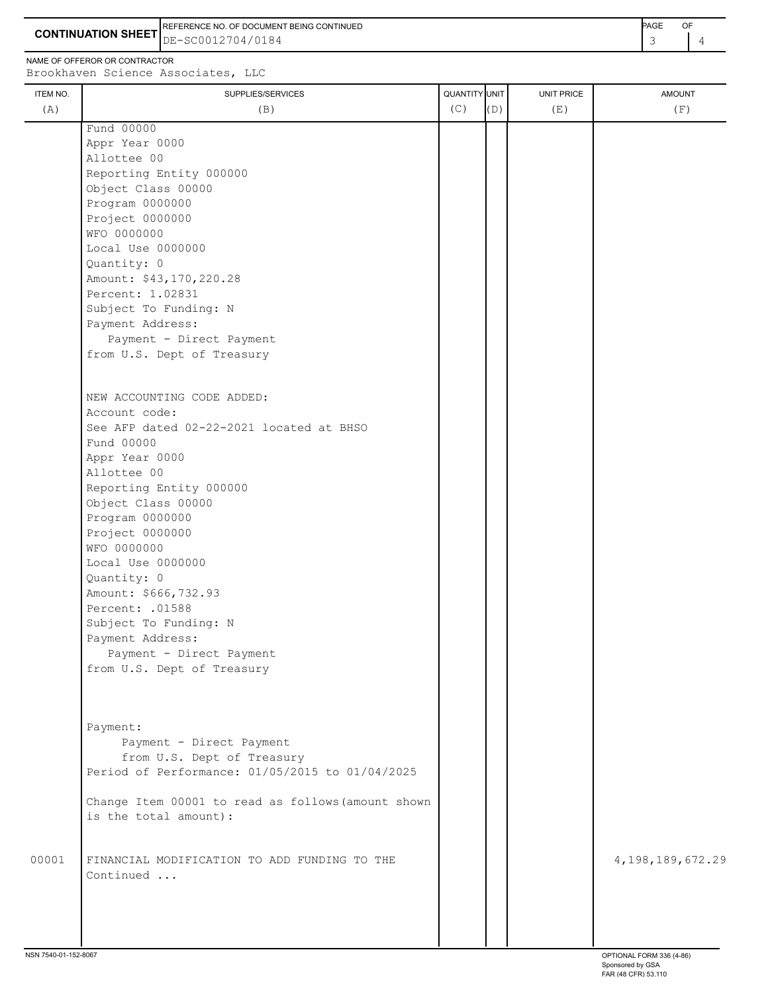**CONTINUATION SHEET** DE-SC0012704/0184 REFERENCE NO. OF DOCUMENT BEING CONTINUED **A CONTINUED PAGE OF PAGE OF PAGE OF PAGE** 

NAME OF OFFEROR OR CONTRACTOR

 Program 0000000 Project 0000000 WFO 0000000

Local Use 0000000

 Percent: 1.02831 Subject To Funding: N Payment Address:

Account code:

 Fund 00000 Appr Year 0000 Allottee 00

Amount: \$43,170,220.28

 Payment - Direct Payment from U.S. Dept of Treasury

See AFP dated 02-22-2021 located at BHSO

NEW ACCOUNTING CODE ADDED:

 Reporting Entity 000000 Object Class 00000 Program 0000000 Project 0000000 WFO 0000000

Local Use 0000000

 Amount: \$666,732.93 Percent: .01588

 Subject To Funding: N Payment Address:

 Payment - Direct Payment from U.S. Dept of Treasury

Quantity: 0

Quantity: 0

ITEM NO. ┃ SUPPLIES/SERVICES UNIT PRICE AMOUNT Brookhaven Science Associates, LLC (A)  $(B)$  (B)  $(C)$   $(D)$  (E)  $(E)$  (F) Fund 00000 Appr Year 0000 Allottee 00 Reporting Entity 000000 Object Class 00000

 Payment: Payment - Direct Payment from U.S. Dept of Treasury Period of Performance: 01/05/2015 to 01/04/2025

 Change Item 00001 to read as follows(amount shown is the total amount):

00001 FINANCIAL MODIFICATION TO ADD FUNDING TO THE  $\vert$  | | | 4,198,189,672.29 Continued ...